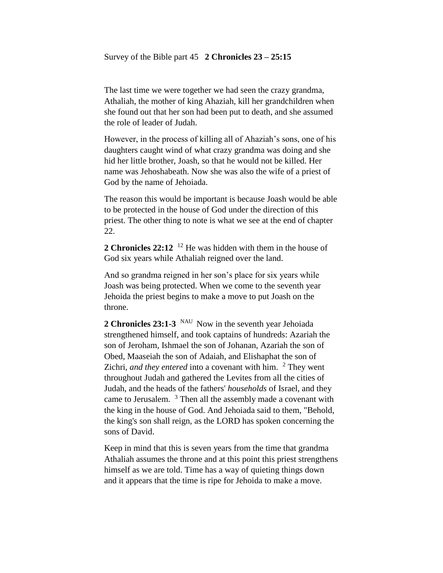#### Survey of the Bible part 45 **2 Chronicles 23 – 25:15**

The last time we were together we had seen the crazy grandma, Athaliah, the mother of king Ahaziah, kill her grandchildren when she found out that her son had been put to death, and she assumed the role of leader of Judah.

However, in the process of killing all of Ahaziah's sons, one of his daughters caught wind of what crazy grandma was doing and she hid her little brother, Joash, so that he would not be killed. Her name was Jehoshabeath. Now she was also the wife of a priest of God by the name of Jehoiada.

The reason this would be important is because Joash would be able to be protected in the house of God under the direction of this priest. The other thing to note is what we see at the end of chapter 22.

**2 Chronicles 22:12** <sup>12</sup> He was hidden with them in the house of God six years while Athaliah reigned over the land.

And so grandma reigned in her son's place for six years while Joash was being protected. When we come to the seventh year Jehoida the priest begins to make a move to put Joash on the throne.

2 Chronicles 23:1-3 <sup>NAU</sup> Now in the seventh year Jehoiada strengthened himself, and took captains of hundreds: Azariah the son of Jeroham, Ishmael the son of Johanan, Azariah the son of Obed, Maaseiah the son of Adaiah, and Elishaphat the son of Zichri, *and they entered* into a covenant with him. <sup>2</sup> They went throughout Judah and gathered the Levites from all the cities of Judah, and the heads of the fathers' *households* of Israel, and they came to Jerusalem. <sup>3</sup> Then all the assembly made a covenant with the king in the house of God. And Jehoiada said to them, "Behold, the king's son shall reign, as the LORD has spoken concerning the sons of David.

Keep in mind that this is seven years from the time that grandma Athaliah assumes the throne and at this point this priest strengthens himself as we are told. Time has a way of quieting things down and it appears that the time is ripe for Jehoida to make a move.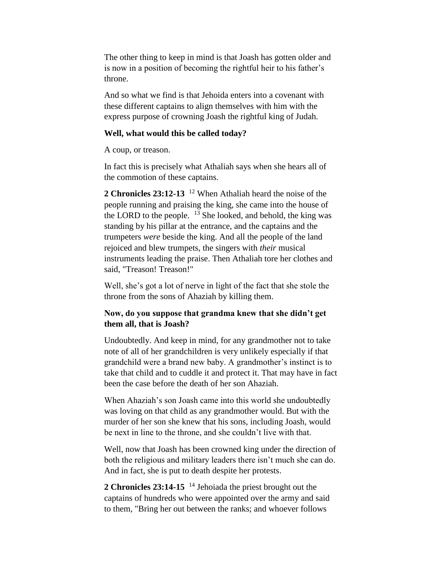The other thing to keep in mind is that Joash has gotten older and is now in a position of becoming the rightful heir to his father's throne.

And so what we find is that Jehoida enters into a covenant with these different captains to align themselves with him with the express purpose of crowning Joash the rightful king of Judah.

### **Well, what would this be called today?**

A coup, or treason.

In fact this is precisely what Athaliah says when she hears all of the commotion of these captains.

**2 Chronicles 23:12-13** <sup>12</sup> When Athaliah heard the noise of the people running and praising the king, she came into the house of the LORD to the people.  $^{13}$  She looked, and behold, the king was standing by his pillar at the entrance, and the captains and the trumpeters *were* beside the king. And all the people of the land rejoiced and blew trumpets, the singers with *their* musical instruments leading the praise. Then Athaliah tore her clothes and said, "Treason! Treason!"

Well, she's got a lot of nerve in light of the fact that she stole the throne from the sons of Ahaziah by killing them.

# **Now, do you suppose that grandma knew that she didn't get them all, that is Joash?**

Undoubtedly. And keep in mind, for any grandmother not to take note of all of her grandchildren is very unlikely especially if that grandchild were a brand new baby. A grandmother's instinct is to take that child and to cuddle it and protect it. That may have in fact been the case before the death of her son Ahaziah.

When Ahaziah's son Joash came into this world she undoubtedly was loving on that child as any grandmother would. But with the murder of her son she knew that his sons, including Joash, would be next in line to the throne, and she couldn't live with that.

Well, now that Joash has been crowned king under the direction of both the religious and military leaders there isn't much she can do. And in fact, she is put to death despite her protests.

**2 Chronicles 23:14-15** <sup>14</sup> Jehoiada the priest brought out the captains of hundreds who were appointed over the army and said to them, "Bring her out between the ranks; and whoever follows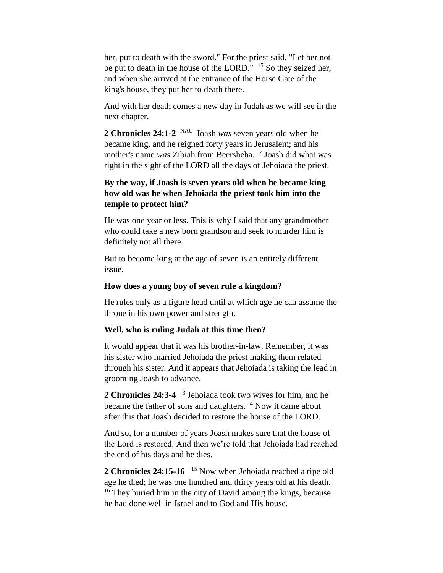her, put to death with the sword." For the priest said, "Let her not be put to death in the house of the LORD." <sup>15</sup> So they seized her, and when she arrived at the entrance of the Horse Gate of the king's house, they put her to death there.

And with her death comes a new day in Judah as we will see in the next chapter.

**2 Chronicles 24:1-2** NAU Joash *was* seven years old when he became king, and he reigned forty years in Jerusalem; and his mother's name *was* Zibiah from Beersheba. <sup>2</sup> Joash did what was right in the sight of the LORD all the days of Jehoiada the priest.

# **By the way, if Joash is seven years old when he became king how old was he when Jehoiada the priest took him into the temple to protect him?**

He was one year or less. This is why I said that any grandmother who could take a new born grandson and seek to murder him is definitely not all there.

But to become king at the age of seven is an entirely different issue.

### **How does a young boy of seven rule a kingdom?**

He rules only as a figure head until at which age he can assume the throne in his own power and strength.

### **Well, who is ruling Judah at this time then?**

It would appear that it was his brother-in-law. Remember, it was his sister who married Jehoiada the priest making them related through his sister. And it appears that Jehoiada is taking the lead in grooming Joash to advance.

**2 Chronicles 24:3-4**  3 Jehoiada took two wives for him, and he became the father of sons and daughters. <sup>4</sup> Now it came about after this that Joash decided to restore the house of the LORD.

And so, for a number of years Joash makes sure that the house of the Lord is restored. And then we're told that Jehoiada had reached the end of his days and he dies.

2 Chronicles 24:15-16 <sup>15</sup> Now when Jehoiada reached a ripe old age he died; he was one hundred and thirty years old at his death. <sup>16</sup> They buried him in the city of David among the kings, because he had done well in Israel and to God and His house.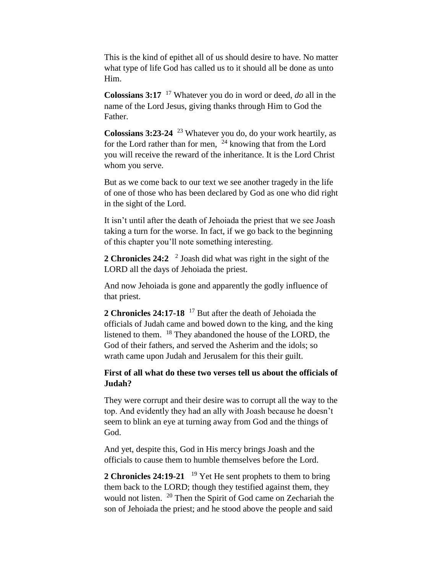This is the kind of epithet all of us should desire to have. No matter what type of life God has called us to it should all be done as unto Him.

**Colossians 3:17** <sup>17</sup> Whatever you do in word or deed, *do* all in the name of the Lord Jesus, giving thanks through Him to God the Father.

**Colossians 3:23-24** <sup>23</sup> Whatever you do, do your work heartily, as for the Lord rather than for men, <sup>24</sup> knowing that from the Lord you will receive the reward of the inheritance. It is the Lord Christ whom you serve.

But as we come back to our text we see another tragedy in the life of one of those who has been declared by God as one who did right in the sight of the Lord.

It isn't until after the death of Jehoiada the priest that we see Joash taking a turn for the worse. In fact, if we go back to the beginning of this chapter you'll note something interesting.

2 Chronicles 24:2<sup>2</sup> Joash did what was right in the sight of the LORD all the days of Jehoiada the priest.

And now Jehoiada is gone and apparently the godly influence of that priest.

**2 Chronicles 24:17-18** <sup>17</sup> But after the death of Jehoiada the officials of Judah came and bowed down to the king, and the king listened to them. <sup>18</sup> They abandoned the house of the LORD, the God of their fathers, and served the Asherim and the idols; so wrath came upon Judah and Jerusalem for this their guilt.

## **First of all what do these two verses tell us about the officials of Judah?**

They were corrupt and their desire was to corrupt all the way to the top. And evidently they had an ally with Joash because he doesn't seem to blink an eye at turning away from God and the things of God.

And yet, despite this, God in His mercy brings Joash and the officials to cause them to humble themselves before the Lord.

2 Chronicles 24:19-21 <sup>19</sup> Yet He sent prophets to them to bring them back to the LORD; though they testified against them, they would not listen. <sup>20</sup> Then the Spirit of God came on Zechariah the son of Jehoiada the priest; and he stood above the people and said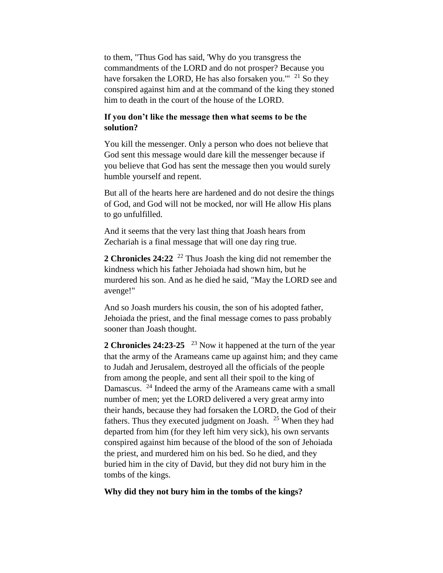to them, "Thus God has said, 'Why do you transgress the commandments of the LORD and do not prosper? Because you have forsaken the LORD, He has also forsaken you."<sup>21</sup> So they conspired against him and at the command of the king they stoned him to death in the court of the house of the LORD.

## **If you don't like the message then what seems to be the solution?**

You kill the messenger. Only a person who does not believe that God sent this message would dare kill the messenger because if you believe that God has sent the message then you would surely humble yourself and repent.

But all of the hearts here are hardened and do not desire the things of God, and God will not be mocked, nor will He allow His plans to go unfulfilled.

And it seems that the very last thing that Joash hears from Zechariah is a final message that will one day ring true.

**2 Chronicles 24:22** <sup>22</sup> Thus Joash the king did not remember the kindness which his father Jehoiada had shown him, but he murdered his son. And as he died he said, "May the LORD see and avenge!"

And so Joash murders his cousin, the son of his adopted father, Jehoiada the priest, and the final message comes to pass probably sooner than Joash thought.

2 Chronicles 24:23-25 <sup>23</sup> Now it happened at the turn of the year that the army of the Arameans came up against him; and they came to Judah and Jerusalem, destroyed all the officials of the people from among the people, and sent all their spoil to the king of Damascus. <sup>24</sup> Indeed the army of the Arameans came with a small number of men; yet the LORD delivered a very great army into their hands, because they had forsaken the LORD, the God of their fathers. Thus they executed judgment on Joash. <sup>25</sup> When they had departed from him (for they left him very sick), his own servants conspired against him because of the blood of the son of Jehoiada the priest, and murdered him on his bed. So he died, and they buried him in the city of David, but they did not bury him in the tombs of the kings.

### **Why did they not bury him in the tombs of the kings?**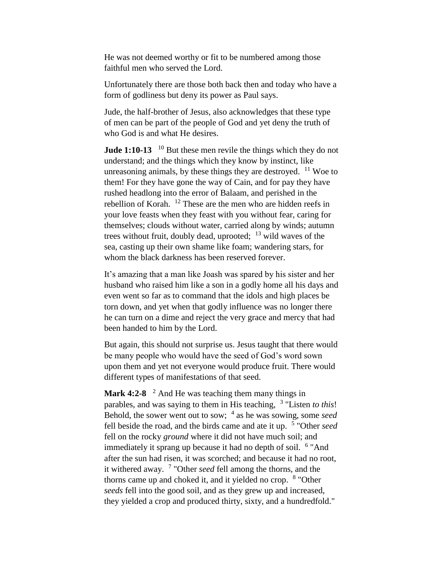He was not deemed worthy or fit to be numbered among those faithful men who served the Lord.

Unfortunately there are those both back then and today who have a form of godliness but deny its power as Paul says.

Jude, the half-brother of Jesus, also acknowledges that these type of men can be part of the people of God and yet deny the truth of who God is and what He desires.

**Jude 1:10-13**  $^{10}$  But these men revile the things which they do not understand; and the things which they know by instinct, like unreasoning animals, by these things they are destroyed.  $11$  Woe to them! For they have gone the way of Cain, and for pay they have rushed headlong into the error of Balaam, and perished in the rebellion of Korah. <sup>12</sup> These are the men who are hidden reefs in your love feasts when they feast with you without fear, caring for themselves; clouds without water, carried along by winds; autumn trees without fruit, doubly dead, uprooted;  $^{13}$  wild waves of the sea, casting up their own shame like foam; wandering stars, for whom the black darkness has been reserved forever.

It's amazing that a man like Joash was spared by his sister and her husband who raised him like a son in a godly home all his days and even went so far as to command that the idols and high places be torn down, and yet when that godly influence was no longer there he can turn on a dime and reject the very grace and mercy that had been handed to him by the Lord.

But again, this should not surprise us. Jesus taught that there would be many people who would have the seed of God's word sown upon them and yet not everyone would produce fruit. There would different types of manifestations of that seed.

Mark 4:2-8<sup>2</sup> And He was teaching them many things in parables, and was saying to them in His teaching, <sup>3</sup> "Listen *to this!* Behold, the sower went out to sow; <sup>4</sup> as he was sowing, some *seed* fell beside the road, and the birds came and ate it up. <sup>5</sup> "Other *seed* fell on the rocky *ground* where it did not have much soil; and immediately it sprang up because it had no depth of soil. <sup>6</sup> "And after the sun had risen, it was scorched; and because it had no root, it withered away. <sup>7</sup> "Other *seed* fell among the thorns, and the thorns came up and choked it, and it yielded no crop. <sup>8</sup> "Other *seeds* fell into the good soil, and as they grew up and increased, they yielded a crop and produced thirty, sixty, and a hundredfold."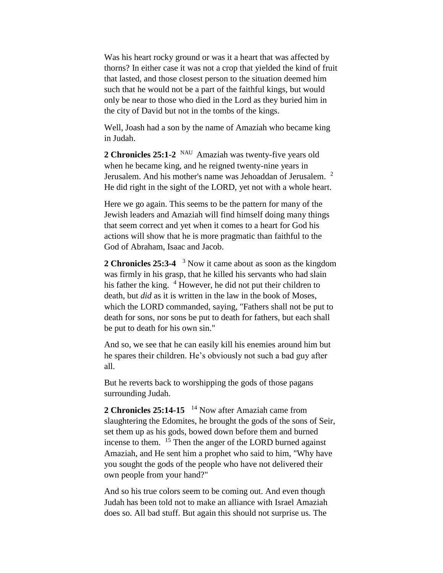Was his heart rocky ground or was it a heart that was affected by thorns? In either case it was not a crop that yielded the kind of fruit that lasted, and those closest person to the situation deemed him such that he would not be a part of the faithful kings, but would only be near to those who died in the Lord as they buried him in the city of David but not in the tombs of the kings.

Well, Joash had a son by the name of Amaziah who became king in Judah.

2 Chronicles 25:1-2 <sup>NAU</sup> Amaziah was twenty-five years old when he became king, and he reigned twenty-nine years in Jerusalem. And his mother's name was Jehoaddan of Jerusalem. <sup>2</sup> He did right in the sight of the LORD, yet not with a whole heart.

Here we go again. This seems to be the pattern for many of the Jewish leaders and Amaziah will find himself doing many things that seem correct and yet when it comes to a heart for God his actions will show that he is more pragmatic than faithful to the God of Abraham, Isaac and Jacob.

2 Chronicles 25:3-4 <sup>3</sup> Now it came about as soon as the kingdom was firmly in his grasp, that he killed his servants who had slain his father the king.  $4$  However, he did not put their children to death, but *did* as it is written in the law in the book of Moses, which the LORD commanded, saying, "Fathers shall not be put to death for sons, nor sons be put to death for fathers, but each shall be put to death for his own sin."

And so, we see that he can easily kill his enemies around him but he spares their children. He's obviously not such a bad guy after all.

But he reverts back to worshipping the gods of those pagans surrounding Judah.

**2 Chronicles 25:14-15**  <sup>14</sup> Now after Amaziah came from slaughtering the Edomites, he brought the gods of the sons of Seir, set them up as his gods, bowed down before them and burned incense to them. <sup>15</sup> Then the anger of the LORD burned against Amaziah, and He sent him a prophet who said to him, "Why have you sought the gods of the people who have not delivered their own people from your hand?"

And so his true colors seem to be coming out. And even though Judah has been told not to make an alliance with Israel Amaziah does so. All bad stuff. But again this should not surprise us. The